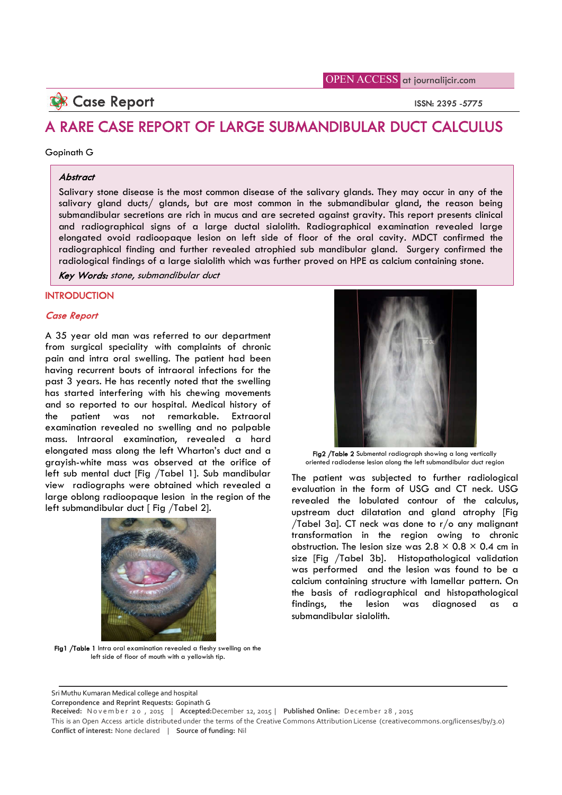# **Case Report ISSN: 2395 -5775**

# A RARE CASE REPORT OF LARGE SUBMANDIBULAR DUCT CALCULUS

#### Gopinath G

#### Abstract

Salivary stone disease is the most common disease of the salivary glands. They may occur in any of the salivary gland ducts/ glands, but are most common in the submandibular gland, the reason being submandibular secretions are rich in mucus and are secreted against gravity. This report presents clinical and radiographical signs of a large ductal sialolith. Radiographical examination revealed large elongated ovoid radioopaque lesion on left side of floor of the oral cavity. MDCT confirmed the radiographical finding and further revealed atrophied sub mandibular gland. Surgery confirmed the radiological findings of a large sialolith which was further proved on HPE as calcium containing stone.

Key Words: stone, submandibular duct

## **INTRODUCTION**

### Case Report

A 35 year old man was referred to our department from surgical speciality with complaints of chronic pain and intra oral swelling. The patient had been having recurrent bouts of intraoral infections for the past 3 years. He has recently noted that the swelling has started interfering with his chewing movements and so reported to our hospital. Medical history of the patient was not remarkable. Extraoral examination revealed no swelling and no palpable mass. Intraoral examination, revealed a hard elongated mass along the left Wharton's duct and a grayish-white mass was observed at the orifice of left sub mental duct [Fig /Tabel 1]. Sub mandibular view radiographs were obtained which revealed a large oblong radioopaque lesion in the region of the left submandibular duct [ Fig /Tabel 2].



Fig1 /Table 1 Intra oral examination revealed a fleshy swelling on the left side of floor of mouth with a yellowish tip.

Fig2 /Table 2 Submental radiograph showing a long vertically oriented radiodense lesion along the left submandibular duct region

The patient was subjected to further radiological evaluation in the form of USG and CT neck. USG revealed the lobulated contour of the calculus, upstream duct dilatation and gland atrophy [Fig /Tabel 3a]. CT neck was done to r/o any malignant transformation in the region owing to chronic obstruction. The lesion size was  $2.8 \times 0.8 \times 0.4$  cm in size [Fig /Tabel 3b]. Histopathological validation was performed and the lesion was found to be a calcium containing structure with lamellar pattern. On the basis of radiographical and histopathological findings, the lesion was diagnosed as a submandibular sialolith.

Sri Muthu Kumaran Medical college and hospital

**Correpondence and Reprint Requests:** Gopinath G

 $\overline{a}$ 

**Received:** N o v e m b e r 2 0 , 2015 | **Accepted:**December 12, 2015 | **Published Online:** D ecember 2 8 , 2015

This is an Open Access article distributed under the terms of the Creative Commons Attribution License (creativecommons.org/licenses/by/3.0) **Conflict of interest:** None declared | **Source of funding:** Nil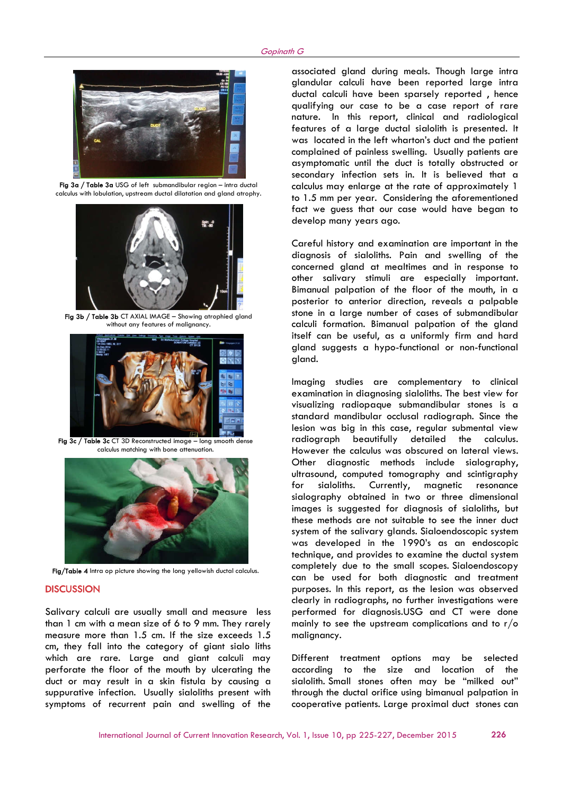

 Fig 3a / Table 3a USG of left submandibular region – intra ductal calculus with lobulation, upstream ductal dilatation and gland atrophy.



Fig 3b / Table 3b CT AXIAL IMAGE – Showing atrophied gland without any features of malignancy.



Fig 3c / Table 3c CT 3D Reconstructed image – long smooth dense calculus matching with bone attenuation.



Fig/Table 4 Intra op picture showing the long yellowish ductal calculus.

#### **DISCUSSION**

Salivary calculi are usually small and measure less than 1 cm with a mean size of 6 to 9 mm. They rarely measure more than 1.5 cm. If the size exceeds 1.5 cm, they fall into the category of giant sialo liths which are rare. Large and giant calculi may perforate the floor of the mouth by ulcerating the duct or may result in a skin fistula by causing a suppurative infection. Usually sialoliths present with symptoms of recurrent pain and swelling of the

associated gland during meals. Though large intra glandular calculi have been reported large intra ductal calculi have been sparsely reported , hence qualifying our case to be a case report of rare nature. In this report, clinical and radiological features of a large ductal sialolith is presented. It was located in the left wharton's duct and the patient complained of painless swelling. Usually patients are asymptomatic until the duct is totally obstructed or secondary infection sets in. It is believed that a calculus may enlarge at the rate of approximately 1 to 1.5 mm per year. Considering the aforementioned fact we guess that our case would have began to develop many years ago.

Careful history and examination are important in the diagnosis of sialoliths. Pain and swelling of the concerned gland at mealtimes and in response to other salivary stimuli are especially important. Bimanual palpation of the floor of the mouth, in a posterior to anterior direction, reveals a palpable stone in a large number of cases of submandibular calculi formation. Bimanual palpation of the gland itself can be useful, as a uniformly firm and hard gland suggests a hypo-functional or non-functional gland.

Imaging studies are complementary to clinical examination in diagnosing sialoliths. The best view for visualizing radiopaque submandibular stones is a standard mandibular occlusal radiograph. Since the lesion was big in this case, regular submental view radiograph beautifully detailed the calculus. However the calculus was obscured on lateral views. Other diagnostic methods include sialography, ultrasound, computed tomography and scintigraphy for sialoliths. Currently, magnetic resonance sialography obtained in two or three dimensional images is suggested for diagnosis of sialoliths, but these methods are not suitable to see the inner duct system of the salivary glands. Sialoendoscopic system was developed in the 1990's as an endoscopic technique, and provides to examine the ductal system completely due to the small scopes. Sialoendoscopy can be used for both diagnostic and treatment purposes. In this report, as the lesion was observed clearly in radiographs, no further investigations were performed for diagnosis.USG and CT were done mainly to see the upstream complications and to  $r/\sigma$ malignancy.

Different treatment options may be selected according to the size and location of the sialolith. Small stones often may be "milked out" through the ductal orifice using bimanual palpation in cooperative patients. Large proximal duct stones can